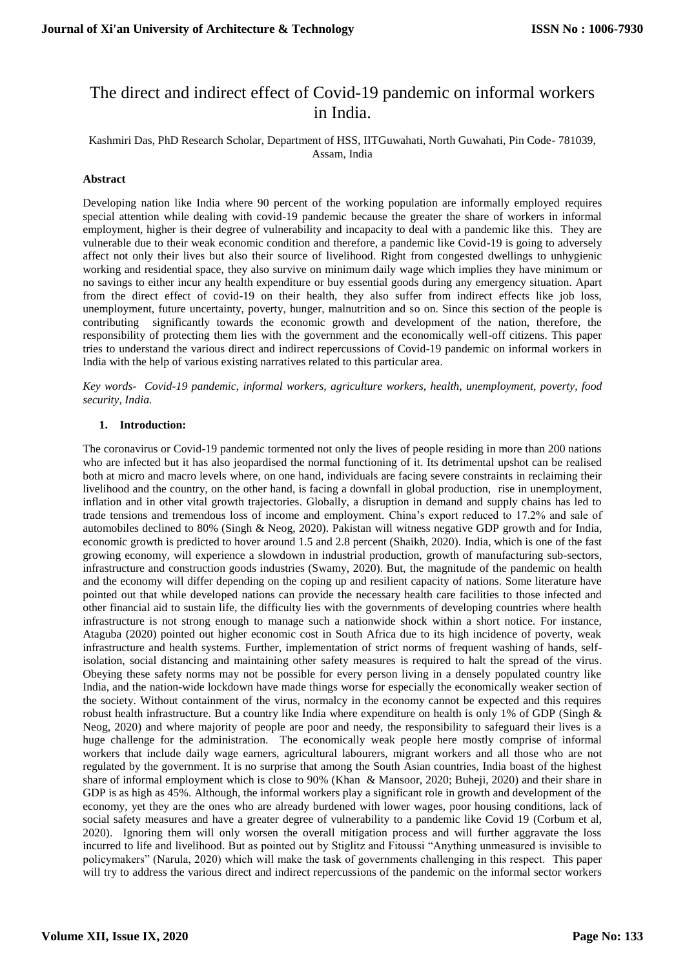# The direct and indirect effect of Covid-19 pandemic on informal workers in India.

### Kashmiri Das, PhD Research Scholar, Department of HSS, IITGuwahati, North Guwahati, Pin Code- 781039, Assam, India

# **Abstract**

Developing nation like India where 90 percent of the working population are informally employed requires special attention while dealing with covid-19 pandemic because the greater the share of workers in informal employment, higher is their degree of vulnerability and incapacity to deal with a pandemic like this. They are vulnerable due to their weak economic condition and therefore, a pandemic like Covid-19 is going to adversely affect not only their lives but also their source of livelihood. Right from congested dwellings to unhygienic working and residential space, they also survive on minimum daily wage which implies they have minimum or no savings to either incur any health expenditure or buy essential goods during any emergency situation. Apart from the direct effect of covid-19 on their health, they also suffer from indirect effects like job loss, unemployment, future uncertainty, poverty, hunger, malnutrition and so on. Since this section of the people is contributing significantly towards the economic growth and development of the nation, therefore, the responsibility of protecting them lies with the government and the economically well-off citizens. This paper tries to understand the various direct and indirect repercussions of Covid-19 pandemic on informal workers in India with the help of various existing narratives related to this particular area.

*Key words*- *Covid-19 pandemic*, *informal workers, agriculture workers, health, unemployment, poverty, food security, India.* 

#### **1. Introduction:**

The coronavirus or Covid-19 pandemic tormented not only the lives of people residing in more than 200 nations who are infected but it has also jeopardised the normal functioning of it. Its detrimental upshot can be realised both at micro and macro levels where, on one hand, individuals are facing severe constraints in reclaiming their livelihood and the country, on the other hand, is facing a downfall in global production, rise in unemployment, inflation and in other vital growth trajectories. Globally, a disruption in demand and supply chains has led to trade tensions and tremendous loss of income and employment. China's export reduced to 17.2% and sale of automobiles declined to 80% (Singh & Neog, 2020). Pakistan will witness negative GDP growth and for India, economic growth is predicted to hover around 1.5 and 2.8 percent (Shaikh, 2020). India, which is one of the fast growing economy, will experience a slowdown in industrial production, growth of manufacturing sub-sectors, infrastructure and construction goods industries (Swamy, 2020). But, the magnitude of the pandemic on health and the economy will differ depending on the coping up and resilient capacity of nations. Some literature have pointed out that while developed nations can provide the necessary health care facilities to those infected and other financial aid to sustain life, the difficulty lies with the governments of developing countries where health infrastructure is not strong enough to manage such a nationwide shock within a short notice. For instance, Ataguba (2020) pointed out higher economic cost in South Africa due to its high incidence of poverty, weak infrastructure and health systems. Further, implementation of strict norms of frequent washing of hands, selfisolation, social distancing and maintaining other safety measures is required to halt the spread of the virus. Obeying these safety norms may not be possible for every person living in a densely populated country like India, and the nation-wide lockdown have made things worse for especially the economically weaker section of the society. Without containment of the virus, normalcy in the economy cannot be expected and this requires robust health infrastructure. But a country like India where expenditure on health is only 1% of GDP (Singh & Neog, 2020) and where majority of people are poor and needy, the responsibility to safeguard their lives is a huge challenge for the administration. The economically weak people here mostly comprise of informal workers that include daily wage earners, agricultural labourers, migrant workers and all those who are not regulated by the government. It is no surprise that among the South Asian countries, India boast of the highest share of informal employment which is close to 90% (Khan & Mansoor, 2020; Buheji, 2020) and their share in GDP is as high as 45%. Although, the informal workers play a significant role in growth and development of the economy, yet they are the ones who are already burdened with lower wages, poor housing conditions, lack of social safety measures and have a greater degree of vulnerability to a pandemic like Covid 19 (Corbum et al, 2020). Ignoring them will only worsen the overall mitigation process and will further aggravate the loss incurred to life and livelihood. But as pointed out by Stiglitz and Fitoussi "Anything unmeasured is invisible to policymakers" (Narula, 2020) which will make the task of governments challenging in this respect. This paper will try to address the various direct and indirect repercussions of the pandemic on the informal sector workers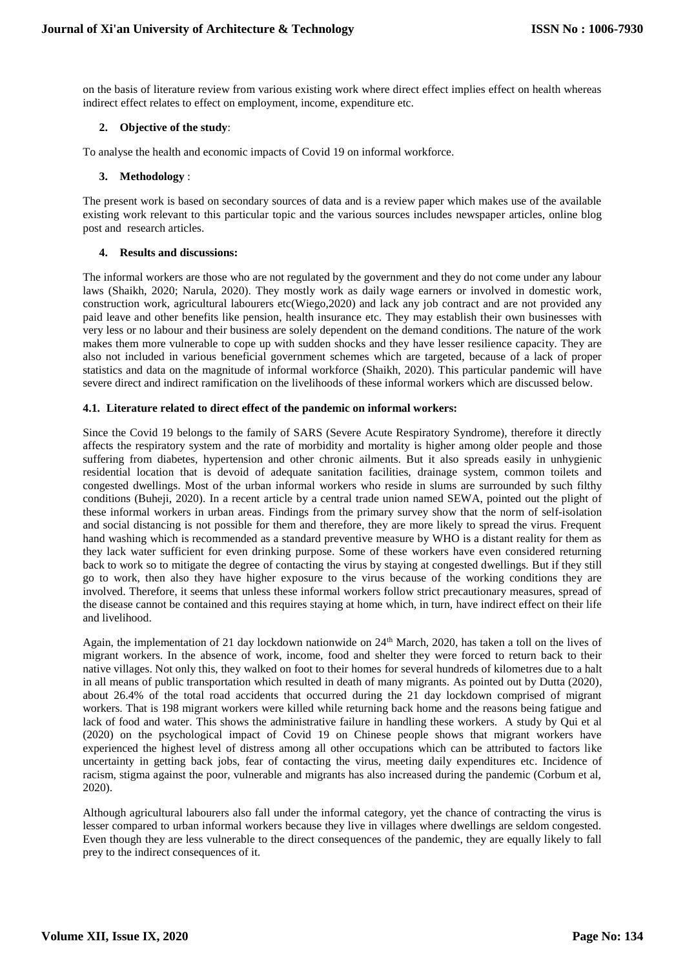on the basis of literature review from various existing work where direct effect implies effect on health whereas indirect effect relates to effect on employment, income, expenditure etc.

## **2. Objective of the study**:

To analyse the health and economic impacts of Covid 19 on informal workforce.

### **3. Methodology** :

The present work is based on secondary sources of data and is a review paper which makes use of the available existing work relevant to this particular topic and the various sources includes newspaper articles, online blog post and research articles.

### **4. Results and discussions:**

The informal workers are those who are not regulated by the government and they do not come under any labour laws (Shaikh, 2020; Narula, 2020). They mostly work as daily wage earners or involved in domestic work, construction work, agricultural labourers etc(Wiego,2020) and lack any job contract and are not provided any paid leave and other benefits like pension, health insurance etc. They may establish their own businesses with very less or no labour and their business are solely dependent on the demand conditions. The nature of the work makes them more vulnerable to cope up with sudden shocks and they have lesser resilience capacity. They are also not included in various beneficial government schemes which are targeted, because of a lack of proper statistics and data on the magnitude of informal workforce (Shaikh, 2020). This particular pandemic will have severe direct and indirect ramification on the livelihoods of these informal workers which are discussed below.

### **4.1. Literature related to direct effect of the pandemic on informal workers:**

Since the Covid 19 belongs to the family of SARS (Severe Acute Respiratory Syndrome), therefore it directly affects the respiratory system and the rate of morbidity and mortality is higher among older people and those suffering from diabetes, hypertension and other chronic ailments. But it also spreads easily in unhygienic residential location that is devoid of adequate sanitation facilities, drainage system, common toilets and congested dwellings. Most of the urban informal workers who reside in slums are surrounded by such filthy conditions (Buheji, 2020). In a recent article by a central trade union named SEWA, pointed out the plight of these informal workers in urban areas. Findings from the primary survey show that the norm of self-isolation and social distancing is not possible for them and therefore, they are more likely to spread the virus. Frequent hand washing which is recommended as a standard preventive measure by WHO is a distant reality for them as they lack water sufficient for even drinking purpose. Some of these workers have even considered returning back to work so to mitigate the degree of contacting the virus by staying at congested dwellings. But if they still go to work, then also they have higher exposure to the virus because of the working conditions they are involved. Therefore, it seems that unless these informal workers follow strict precautionary measures, spread of the disease cannot be contained and this requires staying at home which, in turn, have indirect effect on their life and livelihood.

Again, the implementation of 21 day lockdown nationwide on 24th March, 2020, has taken a toll on the lives of migrant workers. In the absence of work, income, food and shelter they were forced to return back to their native villages. Not only this, they walked on foot to their homes for several hundreds of kilometres due to a halt in all means of public transportation which resulted in death of many migrants. As pointed out by Dutta (2020), about 26.4% of the total road accidents that occurred during the 21 day lockdown comprised of migrant workers. That is 198 migrant workers were killed while returning back home and the reasons being fatigue and lack of food and water. This shows the administrative failure in handling these workers. A study by Qui et al (2020) on the psychological impact of Covid 19 on Chinese people shows that migrant workers have experienced the highest level of distress among all other occupations which can be attributed to factors like uncertainty in getting back jobs, fear of contacting the virus, meeting daily expenditures etc. Incidence of racism, stigma against the poor, vulnerable and migrants has also increased during the pandemic (Corbum et al, 2020).

Although agricultural labourers also fall under the informal category, yet the chance of contracting the virus is lesser compared to urban informal workers because they live in villages where dwellings are seldom congested. Even though they are less vulnerable to the direct consequences of the pandemic, they are equally likely to fall prey to the indirect consequences of it.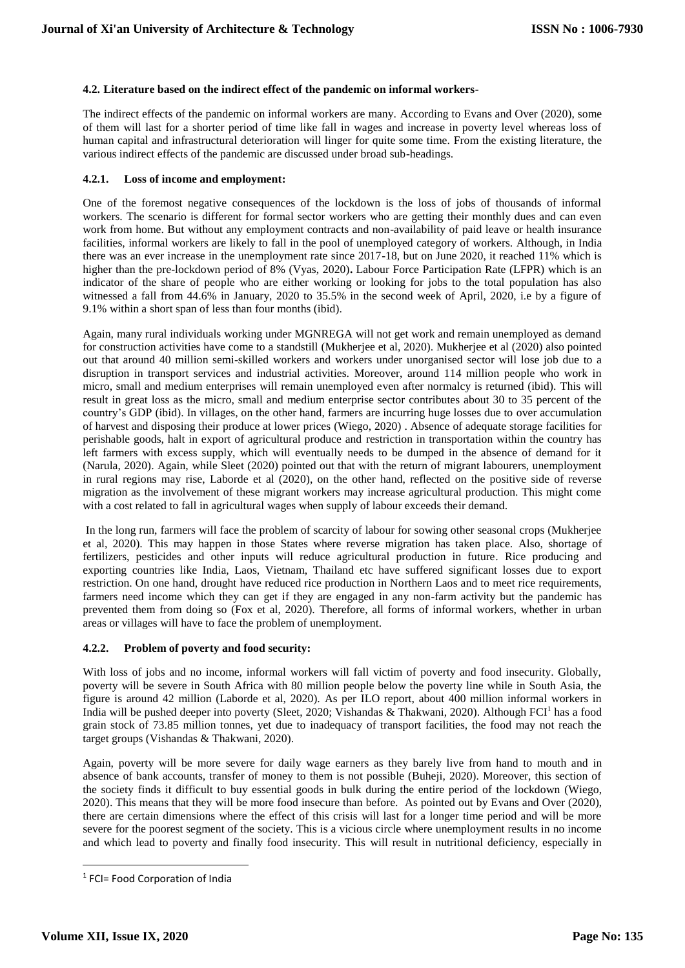## **4.2. Literature based on the indirect effect of the pandemic on informal workers-**

The indirect effects of the pandemic on informal workers are many. According to Evans and Over (2020), some of them will last for a shorter period of time like fall in wages and increase in poverty level whereas loss of human capital and infrastructural deterioration will linger for quite some time. From the existing literature, the various indirect effects of the pandemic are discussed under broad sub-headings.

### **4.2.1. Loss of income and employment:**

One of the foremost negative consequences of the lockdown is the loss of jobs of thousands of informal workers. The scenario is different for formal sector workers who are getting their monthly dues and can even work from home. But without any employment contracts and non-availability of paid leave or health insurance facilities, informal workers are likely to fall in the pool of unemployed category of workers. Although, in India there was an ever increase in the unemployment rate since 2017-18, but on June 2020, it reached 11% which is higher than the pre-lockdown period of 8% (Vyas, 2020)**.** Labour Force Participation Rate (LFPR) which is an indicator of the share of people who are either working or looking for jobs to the total population has also witnessed a fall from 44.6% in January, 2020 to 35.5% in the second week of April, 2020, i.e by a figure of 9.1% within a short span of less than four months (ibid).

Again, many rural individuals working under MGNREGA will not get work and remain unemployed as demand for construction activities have come to a standstill (Mukherjee et al, 2020). Mukherjee et al (2020) also pointed out that around 40 million semi-skilled workers and workers under unorganised sector will lose job due to a disruption in transport services and industrial activities. Moreover, around 114 million people who work in micro, small and medium enterprises will remain unemployed even after normalcy is returned (ibid). This will result in great loss as the micro, small and medium enterprise sector contributes about 30 to 35 percent of the country's GDP (ibid). In villages, on the other hand, farmers are incurring huge losses due to over accumulation of harvest and disposing their produce at lower prices (Wiego, 2020) . Absence of adequate storage facilities for perishable goods, halt in export of agricultural produce and restriction in transportation within the country has left farmers with excess supply, which will eventually needs to be dumped in the absence of demand for it (Narula, 2020). Again, while Sleet (2020) pointed out that with the return of migrant labourers, unemployment in rural regions may rise, Laborde et al (2020), on the other hand, reflected on the positive side of reverse migration as the involvement of these migrant workers may increase agricultural production. This might come with a cost related to fall in agricultural wages when supply of labour exceeds their demand.

In the long run, farmers will face the problem of scarcity of labour for sowing other seasonal crops (Mukherjee et al, 2020). This may happen in those States where reverse migration has taken place. Also, shortage of fertilizers, pesticides and other inputs will reduce agricultural production in future. Rice producing and exporting countries like India, Laos, Vietnam, Thailand etc have suffered significant losses due to export restriction. On one hand, drought have reduced rice production in Northern Laos and to meet rice requirements, farmers need income which they can get if they are engaged in any non-farm activity but the pandemic has prevented them from doing so (Fox et al, 2020). Therefore, all forms of informal workers, whether in urban areas or villages will have to face the problem of unemployment.

# **4.2.2. Problem of poverty and food security:**

With loss of jobs and no income, informal workers will fall victim of poverty and food insecurity. Globally, poverty will be severe in South Africa with 80 million people below the poverty line while in South Asia, the figure is around 42 million (Laborde et al, 2020). As per ILO report, about 400 million informal workers in India will be pushed deeper into poverty (Sleet, 2020; Vishandas & Thakwani, 2020). Although FCI<sup>1</sup> has a food grain stock of 73.85 million tonnes, yet due to inadequacy of transport facilities, the food may not reach the target groups (Vishandas & Thakwani, 2020).

Again, poverty will be more severe for daily wage earners as they barely live from hand to mouth and in absence of bank accounts, transfer of money to them is not possible (Buheji, 2020). Moreover, this section of the society finds it difficult to buy essential goods in bulk during the entire period of the lockdown (Wiego, 2020). This means that they will be more food insecure than before. As pointed out by Evans and Over (2020), there are certain dimensions where the effect of this crisis will last for a longer time period and will be more severe for the poorest segment of the society. This is a vicious circle where unemployment results in no income and which lead to poverty and finally food insecurity. This will result in nutritional deficiency, especially in

**.** 

<sup>&</sup>lt;sup>1</sup> FCI= Food Corporation of India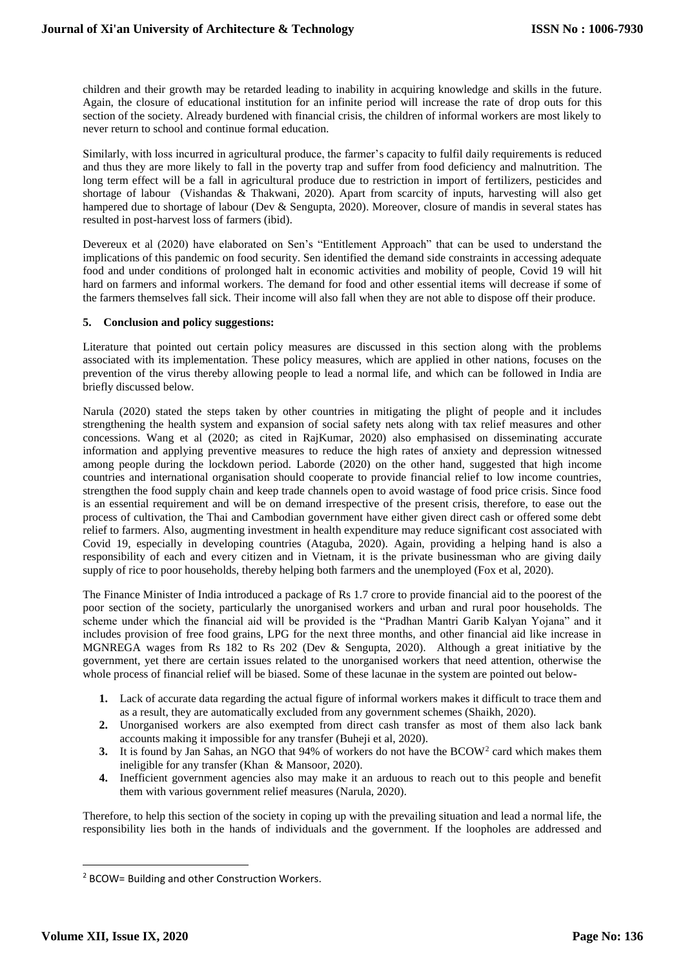children and their growth may be retarded leading to inability in acquiring knowledge and skills in the future. Again, the closure of educational institution for an infinite period will increase the rate of drop outs for this section of the society. Already burdened with financial crisis, the children of informal workers are most likely to never return to school and continue formal education.

Similarly, with loss incurred in agricultural produce, the farmer's capacity to fulfil daily requirements is reduced and thus they are more likely to fall in the poverty trap and suffer from food deficiency and malnutrition. The long term effect will be a fall in agricultural produce due to restriction in import of fertilizers, pesticides and shortage of labour (Vishandas & Thakwani, 2020). Apart from scarcity of inputs, harvesting will also get hampered due to shortage of labour (Dev & Sengupta, 2020). Moreover, closure of mandis in several states has resulted in post-harvest loss of farmers (ibid).

Devereux et al (2020) have elaborated on Sen's "Entitlement Approach" that can be used to understand the implications of this pandemic on food security. Sen identified the demand side constraints in accessing adequate food and under conditions of prolonged halt in economic activities and mobility of people, Covid 19 will hit hard on farmers and informal workers. The demand for food and other essential items will decrease if some of the farmers themselves fall sick. Their income will also fall when they are not able to dispose off their produce.

# **5. Conclusion and policy suggestions:**

Literature that pointed out certain policy measures are discussed in this section along with the problems associated with its implementation. These policy measures, which are applied in other nations, focuses on the prevention of the virus thereby allowing people to lead a normal life, and which can be followed in India are briefly discussed below.

Narula (2020) stated the steps taken by other countries in mitigating the plight of people and it includes strengthening the health system and expansion of social safety nets along with tax relief measures and other concessions. Wang et al (2020; as cited in RajKumar, 2020) also emphasised on disseminating accurate information and applying preventive measures to reduce the high rates of anxiety and depression witnessed among people during the lockdown period. Laborde (2020) on the other hand, suggested that high income countries and international organisation should cooperate to provide financial relief to low income countries, strengthen the food supply chain and keep trade channels open to avoid wastage of food price crisis. Since food is an essential requirement and will be on demand irrespective of the present crisis, therefore, to ease out the process of cultivation, the Thai and Cambodian government have either given direct cash or offered some debt relief to farmers. Also, augmenting investment in health expenditure may reduce significant cost associated with Covid 19, especially in developing countries (Ataguba, 2020). Again, providing a helping hand is also a responsibility of each and every citizen and in Vietnam, it is the private businessman who are giving daily supply of rice to poor households, thereby helping both farmers and the unemployed (Fox et al, 2020).

The Finance Minister of India introduced a package of Rs 1.7 crore to provide financial aid to the poorest of the poor section of the society, particularly the unorganised workers and urban and rural poor households. The scheme under which the financial aid will be provided is the "Pradhan Mantri Garib Kalyan Yojana" and it includes provision of free food grains, LPG for the next three months, and other financial aid like increase in MGNREGA wages from Rs 182 to Rs 202 (Dev & Sengupta, 2020). Although a great initiative by the government, yet there are certain issues related to the unorganised workers that need attention, otherwise the whole process of financial relief will be biased. Some of these lacunae in the system are pointed out below-

- **1.** Lack of accurate data regarding the actual figure of informal workers makes it difficult to trace them and as a result, they are automatically excluded from any government schemes (Shaikh, 2020).
- **2.** Unorganised workers are also exempted from direct cash transfer as most of them also lack bank accounts making it impossible for any transfer (Buheji et al, 2020).
- 3. It is found by Jan Sahas, an NGO that 94% of workers do not have the BCOW<sup>2</sup> card which makes them ineligible for any transfer (Khan & Mansoor, 2020).
- **4.** Inefficient government agencies also may make it an arduous to reach out to this people and benefit them with various government relief measures (Narula, 2020).

Therefore, to help this section of the society in coping up with the prevailing situation and lead a normal life, the responsibility lies both in the hands of individuals and the government. If the loopholes are addressed and

**.** 

<sup>2</sup> BCOW= Building and other Construction Workers.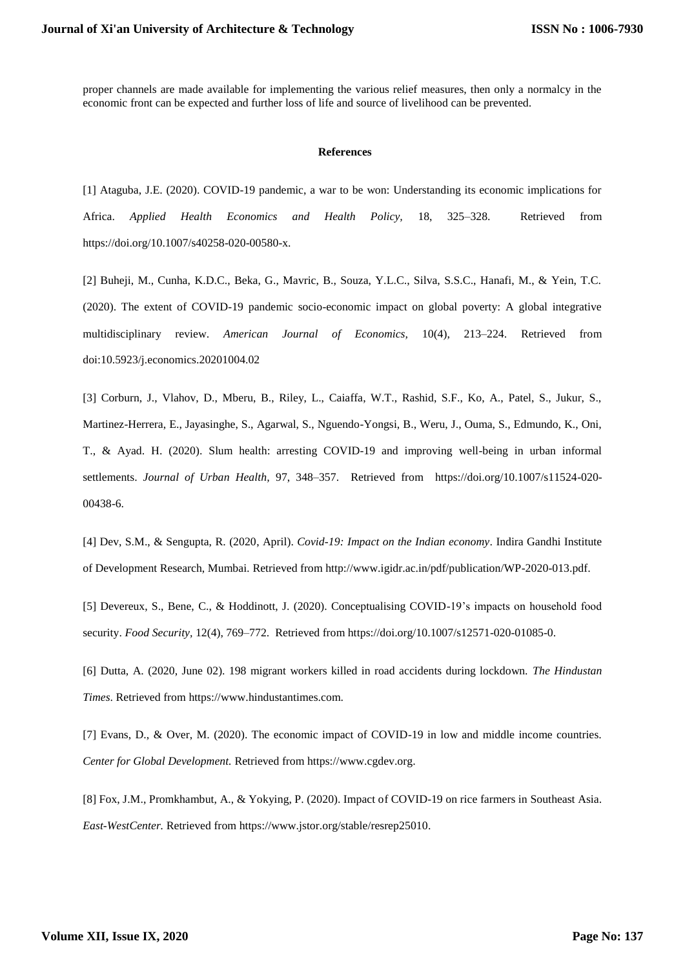proper channels are made available for implementing the various relief measures, then only a normalcy in the economic front can be expected and further loss of life and source of livelihood can be prevented.

#### **References**

[1] Ataguba, J.E. (2020). COVID-19 pandemic, a war to be won: Understanding its economic implications for Africa. *Applied Health Economics and Health Policy,* 18, 325–328. Retrieved from https://doi.org/10.1007/s40258-020-00580-x.

[2] Buheji, M., Cunha, K.D.C., Beka, G., Mavric, B., Souza, Y.L.C., Silva, S.S.C., Hanafi, M., & Yein, T.C. (2020). The extent of COVID-19 pandemic socio-economic impact on global poverty: A global integrative multidisciplinary review. *American Journal of Economics,* 10(4), 213–224. Retrieved from doi:10.5923/j.economics.20201004.02

[3] Corburn, J., Vlahov, D., Mberu, B., Riley, L., Caiaffa, W.T., Rashid, S.F., Ko, A., Patel, S., Jukur, S., Martinez-Herrera, E., Jayasinghe, S., Agarwal, S., Nguendo-Yongsi, B., Weru, J., Ouma, S., Edmundo, K., Oni, T., & Ayad. H. (2020). Slum health: arresting COVID-19 and improving well-being in urban informal settlements. *Journal of Urban Health,* 97, 348–357. Retrieved from https://doi.org/10.1007/s11524-020- 00438-6.

[4] Dev, S.M., & Sengupta, R. (2020, April). *Covid-19: Impact on the Indian economy*. Indira Gandhi Institute of Development Research, Mumbai*.* Retrieved from http://www.igidr.ac.in/pdf/publication/WP-2020-013.pdf.

[5] Devereux, S., Bene, C., & Hoddinott, J. (2020). Conceptualising COVID-19's impacts on household food security. *Food Security,* 12(4), 769–772. Retrieved from https://doi.org/10.1007/s12571-020-01085-0.

[6] Dutta, A. (2020, June 02). 198 migrant workers killed in road accidents during lockdown. *The Hindustan Times*. Retrieved from https://www.hindustantimes.com.

[7] Evans, D., & Over, M. (2020). The economic impact of COVID-19 in low and middle income countries. *Center for Global Development.* Retrieved from [https://www.cgdev.org.](https://www.cgdev.org/)

[8] Fox, J.M., Promkhambut, A., & Yokying, P. (2020). Impact of COVID-19 on rice farmers in Southeast Asia. *East-WestCenter.* Retrieved from [https://www.jstor.org/stable/resrep25010.](https://www.jstor.org/stable/resrep25010)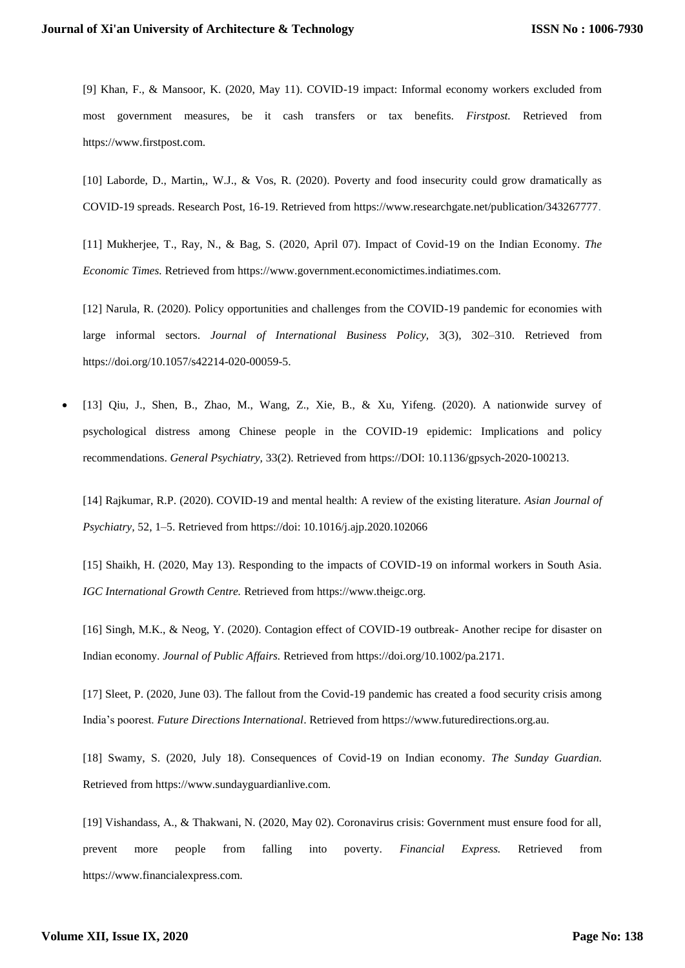[9] Khan, F., & Mansoor, K. (2020, May 11). COVID-19 impact: Informal economy workers excluded from most government measures, be it cash transfers or tax benefits. *Firstpost.* Retrieved from https://www.firstpost.com.

[10] Laborde, D., Martin,, W.J., & Vos, R. (2020). Poverty and food insecurity could grow dramatically as COVID-19 spreads. Research Post, 16-19. Retrieved from https://www.researchgate.net/publication/343267777.

[11] Mukherjee, T., Ray, N., & Bag, S. (2020, April 07). Impact of Covid-19 on the Indian Economy. *The Economic Times.* Retrieved from https://www.government.economictimes.indiatimes.com.

[12] Narula, R. (2020). Policy opportunities and challenges from the COVID-19 pandemic for economies with large informal sectors. *Journal of International Business Policy,* 3(3), 302–310. Retrieved from https://doi.org/10.1057/s42214-020-00059-5.

 [13] Qiu, J., Shen, B., Zhao, M., Wang, Z., Xie, B., & Xu, Yifeng. (2020). A nationwide survey of psychological distress among Chinese people in the COVID-19 epidemic: Implications and policy recommendations. *General Psychiatry,* 33(2). Retrieved from https://DOI: [10.1136/gpsych-2020-100213.](https://doi.org/10.1136/gpsych-2020-100213)

[14] Rajkumar, R.P. (2020). COVID-19 and mental health: A review of the existing literature. *Asian Journal of Psychiatry,* 52, 1–5. Retrieved from https://doi: [10.1016/j.ajp.2020.102066](https://dx.doi.org/10.1016%2Fj.ajp.2020.102066)

[15] Shaikh, H. (2020, May 13). Responding to the impacts of COVID-19 on informal workers in South Asia. *IGC International Growth Centre.* Retrieved from https://www.theigc.org.

[16] Singh, M.K., & Neog, Y. (2020). Contagion effect of COVID-19 outbreak- Another recipe for disaster on Indian economy. *Journal of Public Affairs.* Retrieved from https://doi.org/10.1002/pa.2171.

[17] Sleet, P. (2020, June 03). The fallout from the Covid-19 pandemic has created a food security crisis among India's poorest. *Future Directions International*. Retrieved from https://www.futuredirections.org.au.

[18] Swamy, S. (2020, July 18). Consequences of Covid-19 on Indian economy. *The Sunday Guardian.*  Retrieved from https://www.sundayguardianlive.com.

[19] Vishandass, A., & Thakwani, N. (2020, May 02). Coronavirus crisis: Government must ensure food for all, prevent more people from falling into poverty. *Financial Express.* Retrieved from https://www.financialexpress.com.